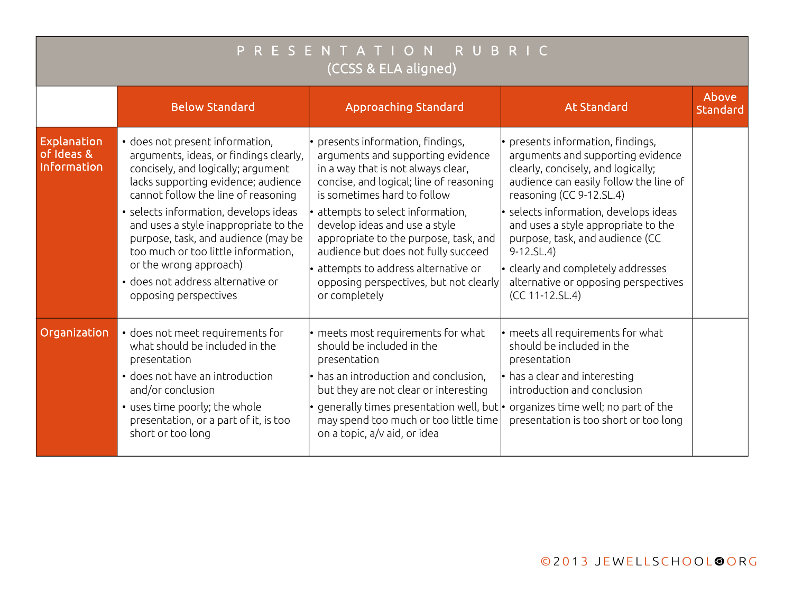| PRESENTATION RUBRIC<br>(CCSS & ELA aligned) |                                                                                                                                                                                                                                                                                                                                                                                                                                                       |                                                                                                                                                                                                                                                                                                                                                                                                                                           |                                                                                                                                                                                                                                                                                                                                                                                                                                    |                   |  |  |  |  |
|---------------------------------------------|-------------------------------------------------------------------------------------------------------------------------------------------------------------------------------------------------------------------------------------------------------------------------------------------------------------------------------------------------------------------------------------------------------------------------------------------------------|-------------------------------------------------------------------------------------------------------------------------------------------------------------------------------------------------------------------------------------------------------------------------------------------------------------------------------------------------------------------------------------------------------------------------------------------|------------------------------------------------------------------------------------------------------------------------------------------------------------------------------------------------------------------------------------------------------------------------------------------------------------------------------------------------------------------------------------------------------------------------------------|-------------------|--|--|--|--|
|                                             | <b>Below Standard</b>                                                                                                                                                                                                                                                                                                                                                                                                                                 | <b>Approaching Standard</b>                                                                                                                                                                                                                                                                                                                                                                                                               | <b>At Standard</b>                                                                                                                                                                                                                                                                                                                                                                                                                 | Above<br>Standard |  |  |  |  |
| Explanation<br>of Ideas &<br>Information    | · does not present information,<br>arguments, ideas, or findings clearly,<br>concisely, and logically; argument<br>lacks supporting evidence; audience<br>cannot follow the line of reasoning<br>• selects information, develops ideas<br>and uses a style inappropriate to the<br>purpose, task, and audience (may be<br>too much or too little information,<br>or the wrong approach)<br>· does not address alternative or<br>opposing perspectives | presents information, findings,<br>arguments and supporting evidence<br>in a way that is not always clear,<br>concise, and logical; line of reasoning<br>is sometimes hard to follow<br>attempts to select information,<br>develop ideas and use a style<br>appropriate to the purpose, task, and<br>audience but does not fully succeed<br>attempts to address alternative or<br>opposing perspectives, but not clearly<br>or completely | • presents information, findings,<br>arguments and supporting evidence<br>clearly, concisely, and logically;<br>audience can easily follow the line of<br>reasoning (CC 9-12.SL.4)<br>$\cdot$ selects information, develops ideas<br>and uses a style appropriate to the<br>purpose, task, and audience (CC<br>$9-12.SL.4)$<br>$\cdot$ clearly and completely addresses<br>alternative or opposing perspectives<br>(CC 11-12.SL.4) |                   |  |  |  |  |
| Organization                                | · does not meet requirements for<br>what should be included in the<br>presentation<br>• does not have an introduction<br>and/or conclusion<br>• uses time poorly; the whole<br>presentation, or a part of it, is too<br>short or too long                                                                                                                                                                                                             | • meets most requirements for what<br>should be included in the<br>presentation<br>• has an introduction and conclusion,<br>but they are not clear or interesting<br>generally times presentation well, but $\cdot$ organizes time well; no part of the<br>may spend too much or too little time<br>on a topic, a/v aid, or idea                                                                                                          | $\cdot$ meets all requirements for what<br>should be included in the<br>presentation<br>$\cdot$ has a clear and interesting<br>introduction and conclusion<br>presentation is too short or too long                                                                                                                                                                                                                                |                   |  |  |  |  |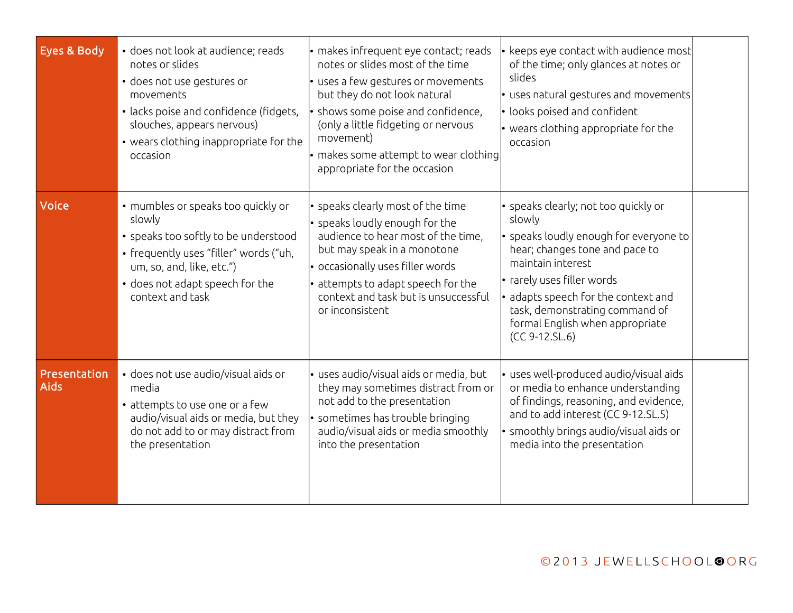| Eyes & Body                 | · does not look at audience; reads<br>notes or slides<br>· does not use gestures or<br>movements<br>· lacks poise and confidence (fidgets,<br>slouches, appears nervous)<br>• wears clothing inappropriate for the<br>occasion | · makes infrequent eye contact; reads<br>notes or slides most of the time<br>· uses a few gestures or movements<br>but they do not look natural<br>• shows some poise and confidence,<br>(only a little fidgeting or nervous<br>movement)<br>• makes some attempt to wear clothing<br>appropriate for the occasion | keeps eye contact with audience most<br>of the time; only glances at notes or<br>slides<br>$\bullet$ uses natural gestures and movements<br>looks poised and confident<br>• wears clothing appropriate for the<br>occasion                                                                                |  |
|-----------------------------|--------------------------------------------------------------------------------------------------------------------------------------------------------------------------------------------------------------------------------|--------------------------------------------------------------------------------------------------------------------------------------------------------------------------------------------------------------------------------------------------------------------------------------------------------------------|-----------------------------------------------------------------------------------------------------------------------------------------------------------------------------------------------------------------------------------------------------------------------------------------------------------|--|
| Voice                       | • mumbles or speaks too quickly or<br>slowly<br>• speaks too softly to be understood<br>• frequently uses "filler" words ("uh,<br>um, so, and, like, etc.")<br>• does not adapt speech for the<br>context and task             | • speaks clearly most of the time<br>• speaks loudly enough for the<br>audience to hear most of the time,<br>but may speak in a monotone<br>• occasionally uses filler words<br>• attempts to adapt speech for the<br>context and task but is unsuccessful<br>or inconsistent                                      | · speaks clearly; not too quickly or<br>slowly<br>speaks loudly enough for everyone to<br>hear; changes tone and pace to<br>maintain interest<br>· rarely uses filler words<br>adapts speech for the context and<br>task, demonstrating command of<br>formal English when appropriate<br>$(CC 9-12.SL.6)$ |  |
| Presentation<br><b>Aids</b> | · does not use audio/visual aids or<br>media<br>• attempts to use one or a few<br>audio/visual aids or media, but they<br>do not add to or may distract from<br>the presentation                                               | · uses audio/visual aids or media, but<br>they may sometimes distract from or<br>not add to the presentation<br>sometimes has trouble bringing<br>audio/visual aids or media smoothly<br>into the presentation                                                                                                     | uses well-produced audio/visual aids<br>or media to enhance understanding<br>of findings, reasoning, and evidence,<br>and to add interest (CC 9-12.SL.5)<br>smoothly brings audio/visual aids or<br>media into the presentation                                                                           |  |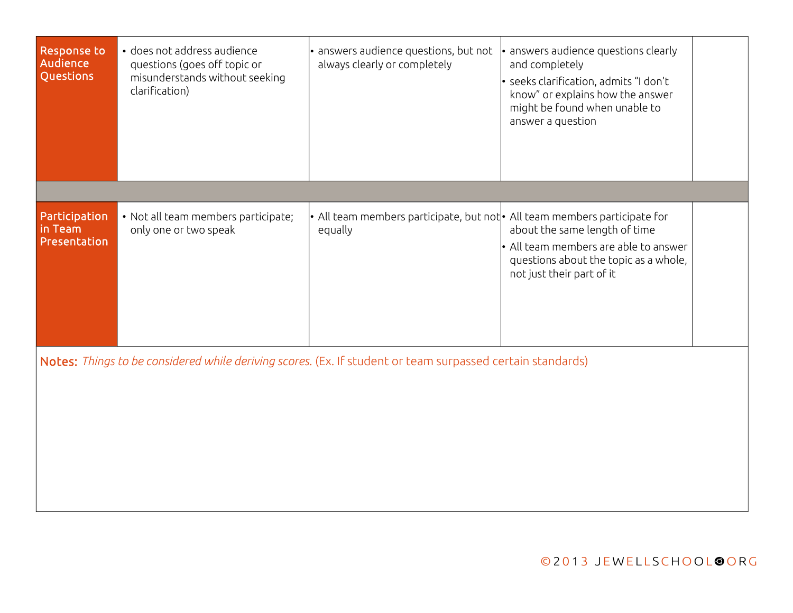| Response to<br>Audience<br>Questions     | • does not address audience<br>questions (goes off topic or<br>misunderstands without seeking<br>clarification) | · answers audience questions, but not<br>always clearly or completely                                      | $\cdot$ answers audience questions clearly<br>and completely<br>· seeks clarification, admits "I don't<br>know" or explains how the answer<br>might be found when unable to<br>answer a question |  |
|------------------------------------------|-----------------------------------------------------------------------------------------------------------------|------------------------------------------------------------------------------------------------------------|--------------------------------------------------------------------------------------------------------------------------------------------------------------------------------------------------|--|
|                                          |                                                                                                                 |                                                                                                            |                                                                                                                                                                                                  |  |
| Participation<br>in Team<br>Presentation | • Not all team members participate;<br>only one or two speak                                                    | $\bullet$ All team members participate, but not $\bullet$ All team members participate for<br>equally      | about the same length of time<br>• All team members are able to answer<br>questions about the topic as a whole,<br>not just their part of it                                                     |  |
|                                          |                                                                                                                 | Notes: Things to be considered while deriving scores. (Ex. If student or team surpassed certain standards) |                                                                                                                                                                                                  |  |